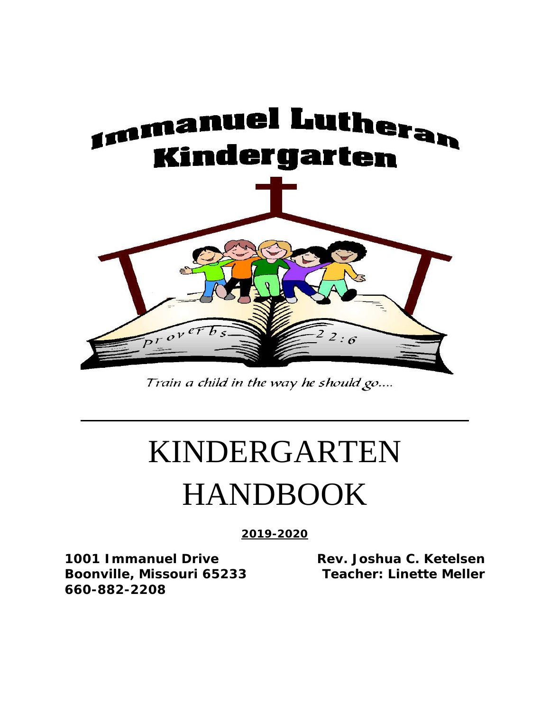

Train a child in the way he should go....

# KINDERGARTEN HANDBOOK

**2019-2020**

**1001 Immanuel Drive Rev. Joshua C. Ketelsen Boonville, Missouri 65233 Teacher: Linette Meller 660-882-2208**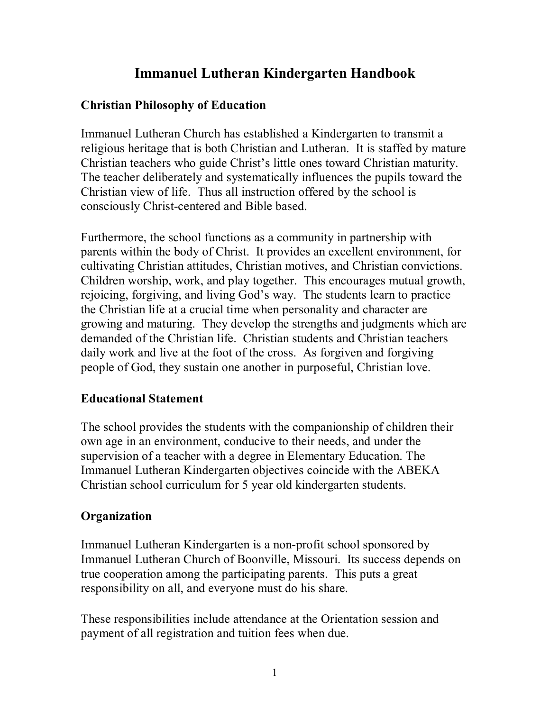# **Immanuel Lutheran Kindergarten Handbook**

# **Christian Philosophy of Education**

Immanuel Lutheran Church has established a Kindergarten to transmit a religious heritage that is both Christian and Lutheran. It is staffed by mature Christian teachers who guide Christ's little ones toward Christian maturity. The teacher deliberately and systematically influences the pupils toward the Christian view of life. Thus all instruction offered by the school is consciously Christ-centered and Bible based.

Furthermore, the school functions as a community in partnership with parents within the body of Christ. It provides an excellent environment, for cultivating Christian attitudes, Christian motives, and Christian convictions. Children worship, work, and play together. This encourages mutual growth, rejoicing, forgiving, and living God's way. The students learn to practice the Christian life at a crucial time when personality and character are growing and maturing. They develop the strengths and judgments which are demanded of the Christian life. Christian students and Christian teachers daily work and live at the foot of the cross. As forgiven and forgiving people of God, they sustain one another in purposeful, Christian love.

# **Educational Statement**

The school provides the students with the companionship of children their own age in an environment, conducive to their needs, and under the supervision of a teacher with a degree in Elementary Education. The Immanuel Lutheran Kindergarten objectives coincide with the ABEKA Christian school curriculum for 5 year old kindergarten students.

# **Organization**

Immanuel Lutheran Kindergarten is a non-profit school sponsored by Immanuel Lutheran Church of Boonville, Missouri. Its success depends on true cooperation among the participating parents. This puts a great responsibility on all, and everyone must do his share.

These responsibilities include attendance at the Orientation session and payment of all registration and tuition fees when due.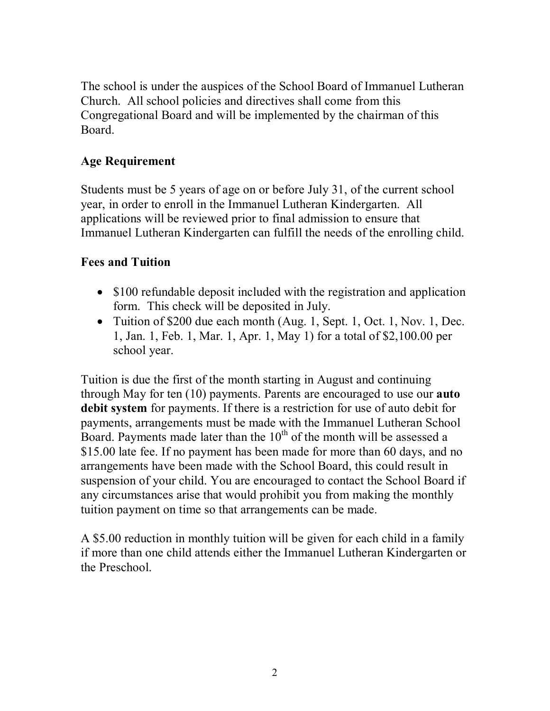The school is under the auspices of the School Board of Immanuel Lutheran Church. All school policies and directives shall come from this Congregational Board and will be implemented by the chairman of this Board.

## **Age Requirement**

Students must be 5 years of age on or before July 31, of the current school year, in order to enroll in the Immanuel Lutheran Kindergarten. All applications will be reviewed prior to final admission to ensure that Immanuel Lutheran Kindergarten can fulfill the needs of the enrolling child.

## **Fees and Tuition**

- \$100 refundable deposit included with the registration and application form. This check will be deposited in July.
- Tuition of \$200 due each month (Aug. 1, Sept. 1, Oct. 1, Nov. 1, Dec. 1, Jan. 1, Feb. 1, Mar. 1, Apr. 1, May 1) for a total of \$2,100.00 per school year.

Tuition is due the first of the month starting in August and continuing through May for ten (10) payments. Parents are encouraged to use our **auto debit system** for payments. If there is a restriction for use of auto debit for payments, arrangements must be made with the Immanuel Lutheran School Board. Payments made later than the  $10<sup>th</sup>$  of the month will be assessed a \$15.00 late fee. If no payment has been made for more than 60 days, and no arrangements have been made with the School Board, this could result in suspension of your child. You are encouraged to contact the School Board if any circumstances arise that would prohibit you from making the monthly tuition payment on time so that arrangements can be made.

A \$5.00 reduction in monthly tuition will be given for each child in a family if more than one child attends either the Immanuel Lutheran Kindergarten or the Preschool.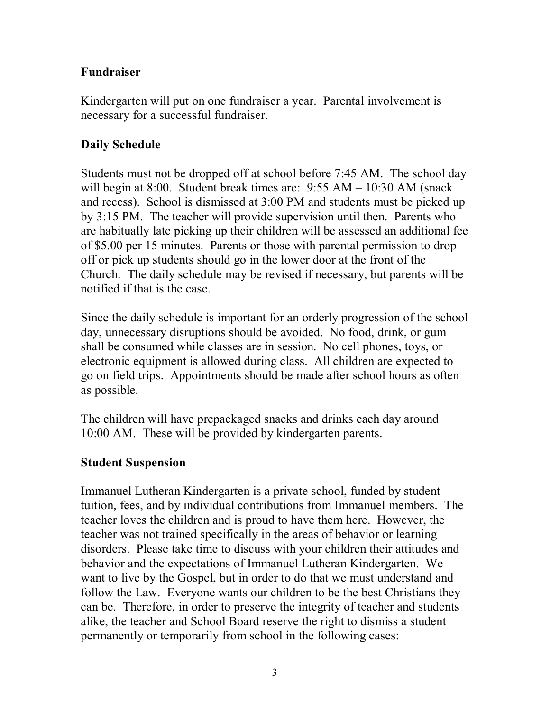## **Fundraiser**

Kindergarten will put on one fundraiser a year. Parental involvement is necessary for a successful fundraiser.

# **Daily Schedule**

Students must not be dropped off at school before 7:45 AM. The school day will begin at 8:00. Student break times are: 9:55 AM – 10:30 AM (snack and recess). School is dismissed at 3:00 PM and students must be picked up by 3:15 PM. The teacher will provide supervision until then. Parents who are habitually late picking up their children will be assessed an additional fee of \$5.00 per 15 minutes. Parents or those with parental permission to drop off or pick up students should go in the lower door at the front of the Church. The daily schedule may be revised if necessary, but parents will be notified if that is the case.

Since the daily schedule is important for an orderly progression of the school day, unnecessary disruptions should be avoided. No food, drink, or gum shall be consumed while classes are in session. No cell phones, toys, or electronic equipment is allowed during class. All children are expected to go on field trips. Appointments should be made after school hours as often as possible.

The children will have prepackaged snacks and drinks each day around 10:00 AM. These will be provided by kindergarten parents.

# **Student Suspension**

Immanuel Lutheran Kindergarten is a private school, funded by student tuition, fees, and by individual contributions from Immanuel members. The teacher loves the children and is proud to have them here. However, the teacher was not trained specifically in the areas of behavior or learning disorders. Please take time to discuss with your children their attitudes and behavior and the expectations of Immanuel Lutheran Kindergarten. We want to live by the Gospel, but in order to do that we must understand and follow the Law. Everyone wants our children to be the best Christians they can be. Therefore, in order to preserve the integrity of teacher and students alike, the teacher and School Board reserve the right to dismiss a student permanently or temporarily from school in the following cases: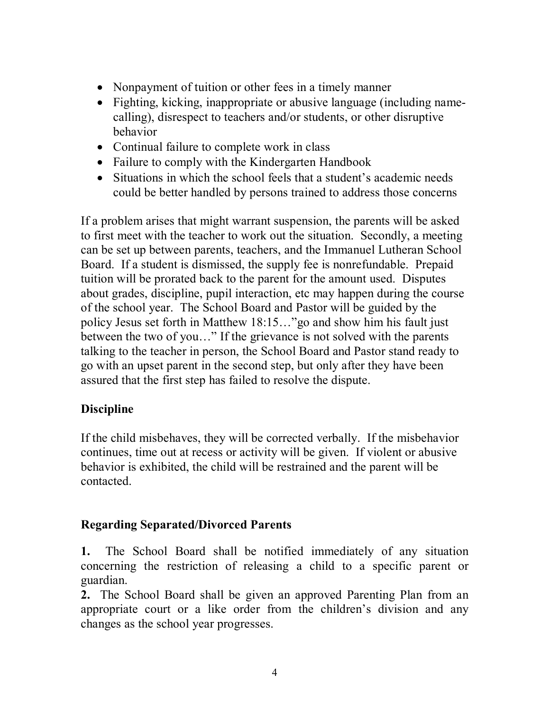- Nonpayment of tuition or other fees in a timely manner
- Fighting, kicking, inappropriate or abusive language (including namecalling), disrespect to teachers and/or students, or other disruptive behavior
- Continual failure to complete work in class
- Failure to comply with the Kindergarten Handbook
- Situations in which the school feels that a student's academic needs could be better handled by persons trained to address those concerns

If a problem arises that might warrant suspension, the parents will be asked to first meet with the teacher to work out the situation. Secondly, a meeting can be set up between parents, teachers, and the Immanuel Lutheran School Board. If a student is dismissed, the supply fee is nonrefundable. Prepaid tuition will be prorated back to the parent for the amount used. Disputes about grades, discipline, pupil interaction, etc may happen during the course of the school year. The School Board and Pastor will be guided by the policy Jesus set forth in Matthew 18:15…"go and show him his fault just between the two of you…" If the grievance is not solved with the parents talking to the teacher in person, the School Board and Pastor stand ready to go with an upset parent in the second step, but only after they have been assured that the first step has failed to resolve the dispute.

# **Discipline**

If the child misbehaves, they will be corrected verbally. If the misbehavior continues, time out at recess or activity will be given. If violent or abusive behavior is exhibited, the child will be restrained and the parent will be contacted.

# **Regarding Separated/Divorced Parents**

**1.** The School Board shall be notified immediately of any situation concerning the restriction of releasing a child to a specific parent or guardian.

**2.** The School Board shall be given an approved Parenting Plan from an appropriate court or a like order from the children's division and any changes as the school year progresses.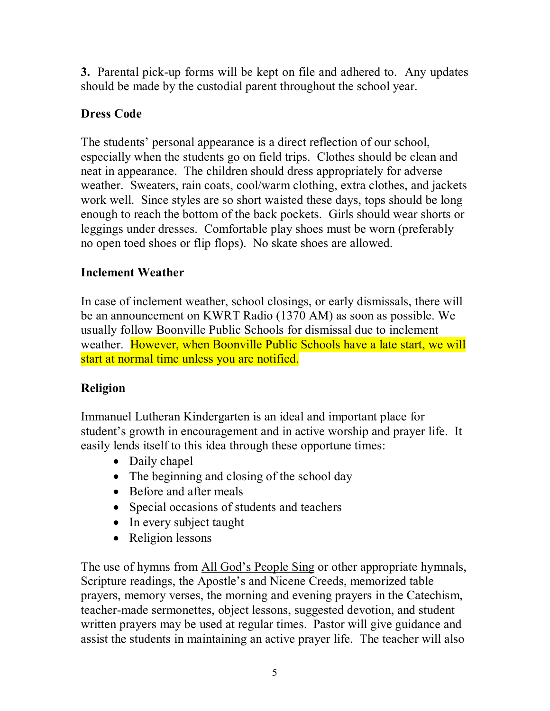**3.** Parental pick-up forms will be kept on file and adhered to. Any updates should be made by the custodial parent throughout the school year.

# **Dress Code**

The students' personal appearance is a direct reflection of our school, especially when the students go on field trips. Clothes should be clean and neat in appearance. The children should dress appropriately for adverse weather. Sweaters, rain coats, cool/warm clothing, extra clothes, and jackets work well. Since styles are so short waisted these days, tops should be long enough to reach the bottom of the back pockets. Girls should wear shorts or leggings under dresses. Comfortable play shoes must be worn (preferably no open toed shoes or flip flops). No skate shoes are allowed.

## **Inclement Weather**

In case of inclement weather, school closings, or early dismissals, there will be an announcement on KWRT Radio (1370 AM) as soon as possible. We usually follow Boonville Public Schools for dismissal due to inclement weather. However, when Boonville Public Schools have a late start, we will start at normal time unless you are notified.

# **Religion**

Immanuel Lutheran Kindergarten is an ideal and important place for student's growth in encouragement and in active worship and prayer life. It easily lends itself to this idea through these opportune times:

- Daily chapel
- The beginning and closing of the school day
- Before and after meals
- Special occasions of students and teachers
- In every subject taught
- Religion lessons

The use of hymns from All God's People Sing or other appropriate hymnals, Scripture readings, the Apostle's and Nicene Creeds, memorized table prayers, memory verses, the morning and evening prayers in the Catechism, teacher-made sermonettes, object lessons, suggested devotion, and student written prayers may be used at regular times. Pastor will give guidance and assist the students in maintaining an active prayer life. The teacher will also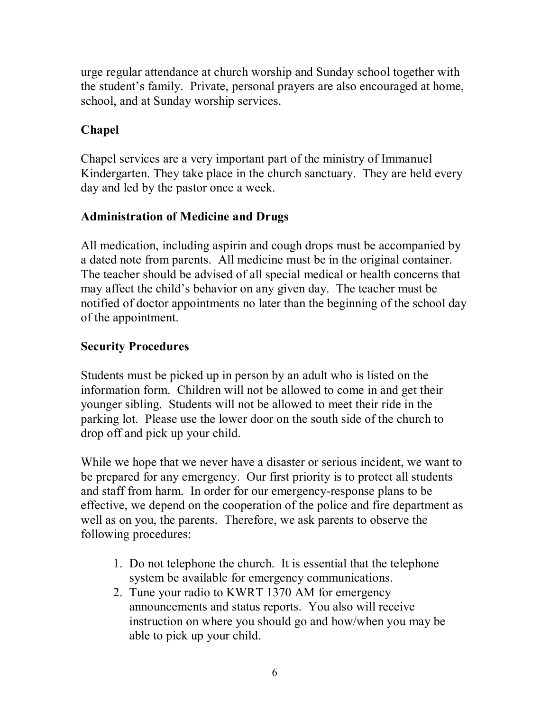urge regular attendance at church worship and Sunday school together with the student's family. Private, personal prayers are also encouraged at home, school, and at Sunday worship services.

# **Chapel**

Chapel services are a very important part of the ministry of Immanuel Kindergarten. They take place in the church sanctuary. They are held every day and led by the pastor once a week.

# **Administration of Medicine and Drugs**

All medication, including aspirin and cough drops must be accompanied by a dated note from parents. All medicine must be in the original container. The teacher should be advised of all special medical or health concerns that may affect the child's behavior on any given day. The teacher must be notified of doctor appointments no later than the beginning of the school day of the appointment.

# **Security Procedures**

Students must be picked up in person by an adult who is listed on the information form. Children will not be allowed to come in and get their younger sibling. Students will not be allowed to meet their ride in the parking lot. Please use the lower door on the south side of the church to drop off and pick up your child.

While we hope that we never have a disaster or serious incident, we want to be prepared for any emergency. Our first priority is to protect all students and staff from harm. In order for our emergency-response plans to be effective, we depend on the cooperation of the police and fire department as well as on you, the parents. Therefore, we ask parents to observe the following procedures:

- 1. Do not telephone the church. It is essential that the telephone system be available for emergency communications.
- 2. Tune your radio to KWRT 1370 AM for emergency announcements and status reports. You also will receive instruction on where you should go and how/when you may be able to pick up your child.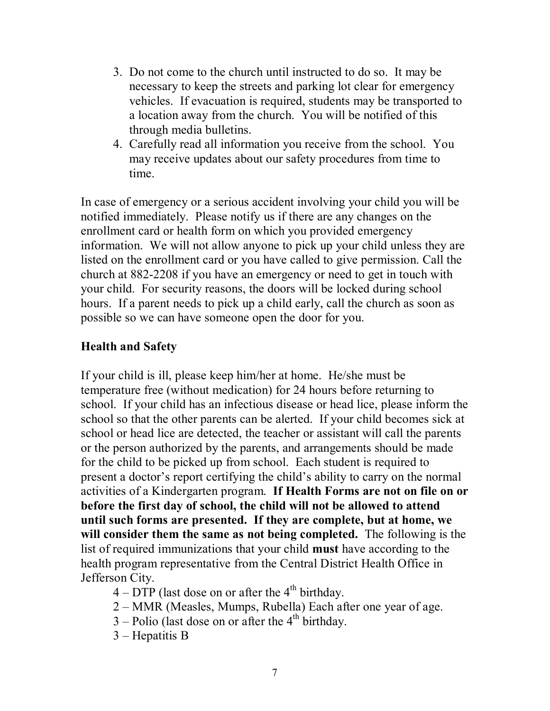- 3. Do not come to the church until instructed to do so. It may be necessary to keep the streets and parking lot clear for emergency vehicles. If evacuation is required, students may be transported to a location away from the church. You will be notified of this through media bulletins.
- 4. Carefully read all information you receive from the school. You may receive updates about our safety procedures from time to time.

In case of emergency or a serious accident involving your child you will be notified immediately. Please notify us if there are any changes on the enrollment card or health form on which you provided emergency information. We will not allow anyone to pick up your child unless they are listed on the enrollment card or you have called to give permission. Call the church at 882-2208 if you have an emergency or need to get in touch with your child. For security reasons, the doors will be locked during school hours. If a parent needs to pick up a child early, call the church as soon as possible so we can have someone open the door for you.

#### **Health and Safety**

If your child is ill, please keep him/her at home. He/she must be temperature free (without medication) for 24 hours before returning to school. If your child has an infectious disease or head lice, please inform the school so that the other parents can be alerted. If your child becomes sick at school or head lice are detected, the teacher or assistant will call the parents or the person authorized by the parents, and arrangements should be made for the child to be picked up from school. Each student is required to present a doctor's report certifying the child's ability to carry on the normal activities of a Kindergarten program. **If Health Forms are not on file on or before the first day of school, the child will not be allowed to attend until such forms are presented. If they are complete, but at home, we will consider them the same as not being completed.** The following is the list of required immunizations that your child **must** have according to the health program representative from the Central District Health Office in Jefferson City.

- $4 DTP$  (last dose on or after the  $4<sup>th</sup>$  birthday.
- 2 MMR (Measles, Mumps, Rubella) Each after one year of age.
- $3$  Polio (last dose on or after the  $4<sup>th</sup>$  birthday.
- 3 Hepatitis B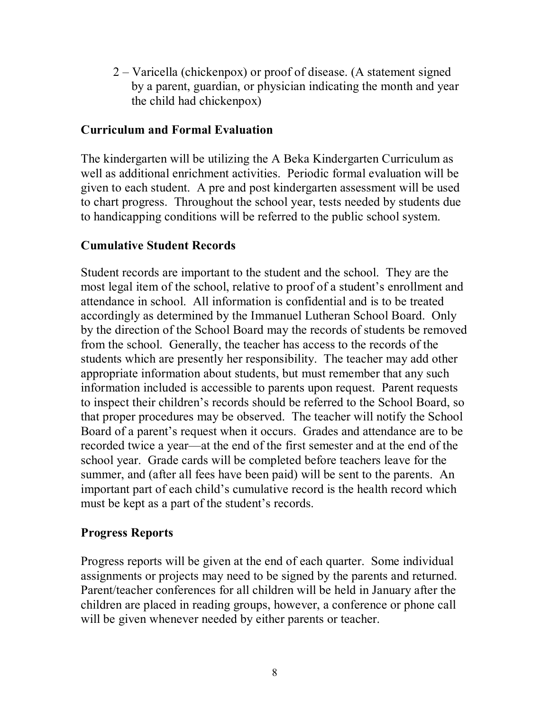2 – Varicella (chickenpox) or proof of disease. (A statement signed by a parent, guardian, or physician indicating the month and year the child had chickenpox)

#### **Curriculum and Formal Evaluation**

The kindergarten will be utilizing the A Beka Kindergarten Curriculum as well as additional enrichment activities. Periodic formal evaluation will be given to each student. A pre and post kindergarten assessment will be used to chart progress. Throughout the school year, tests needed by students due to handicapping conditions will be referred to the public school system.

#### **Cumulative Student Records**

Student records are important to the student and the school. They are the most legal item of the school, relative to proof of a student's enrollment and attendance in school. All information is confidential and is to be treated accordingly as determined by the Immanuel Lutheran School Board. Only by the direction of the School Board may the records of students be removed from the school. Generally, the teacher has access to the records of the students which are presently her responsibility. The teacher may add other appropriate information about students, but must remember that any such information included is accessible to parents upon request. Parent requests to inspect their children's records should be referred to the School Board, so that proper procedures may be observed. The teacher will notify the School Board of a parent's request when it occurs. Grades and attendance are to be recorded twice a year—at the end of the first semester and at the end of the school year. Grade cards will be completed before teachers leave for the summer, and (after all fees have been paid) will be sent to the parents. An important part of each child's cumulative record is the health record which must be kept as a part of the student's records.

#### **Progress Reports**

Progress reports will be given at the end of each quarter. Some individual assignments or projects may need to be signed by the parents and returned. Parent/teacher conferences for all children will be held in January after the children are placed in reading groups, however, a conference or phone call will be given whenever needed by either parents or teacher.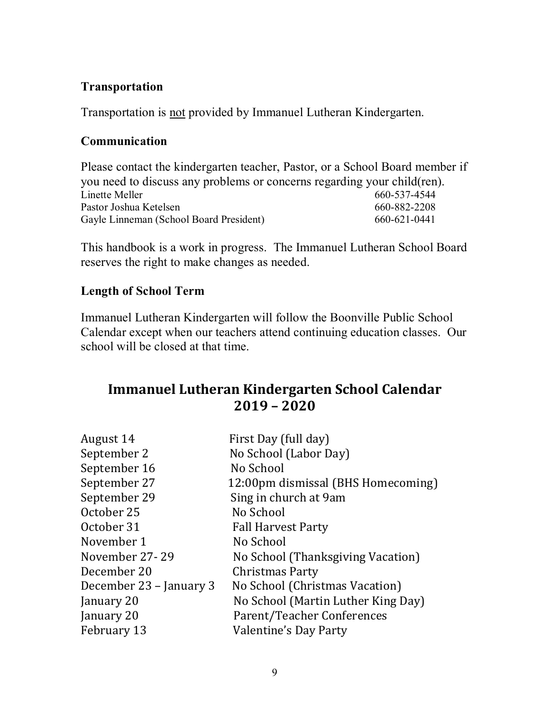## **Transportation**

Transportation is not provided by Immanuel Lutheran Kindergarten.

#### **Communication**

Please contact the kindergarten teacher, Pastor, or a School Board member if you need to discuss any problems or concerns regarding your child(ren).<br>Linette Meller 660-537-4544 Linette Meller 660-537-4544 Pastor Joshua Ketelsen **660-882-2208** 660-882-2208 Gayle Linneman (School Board President) 660-621-0441

This handbook is a work in progress. The Immanuel Lutheran School Board reserves the right to make changes as needed.

## **Length of School Term**

Immanuel Lutheran Kindergarten will follow the Boonville Public School Calendar except when our teachers attend continuing education classes. Our school will be closed at that time.

# **Immanuel Lutheran Kindergarten School Calendar 2019 – 2020**

| First Day (full day)               |
|------------------------------------|
| No School (Labor Day)              |
| No School                          |
| 12:00pm dismissal (BHS Homecoming) |
| Sing in church at 9am              |
| No School                          |
| <b>Fall Harvest Party</b>          |
| No School                          |
| No School (Thanksgiving Vacation)  |
| Christmas Party                    |
| No School (Christmas Vacation)     |
| No School (Martin Luther King Day) |
| Parent/Teacher Conferences         |
| Valentine's Day Party              |
|                                    |